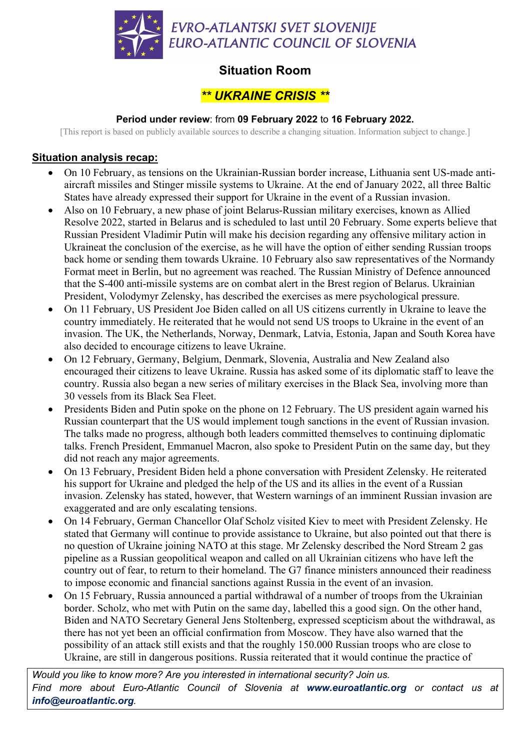

# **Situation Room**

## *\*\* UKRAINE CRISIS \*\**

### **Period under review**: from **09 February 2022** to **16 February 2022.**

[This report is based on publicly available sources to describe a changing situation. Information subject to change.]

### **Situation analysis recap:**

- On 10 February, as tensions on the Ukrainian-Russian border increase, Lithuania sent US-made antiaircraft missiles and Stinger missile systems to Ukraine. At the end of January 2022, all three Baltic States have already expressed their support for Ukraine in the event of a Russian invasion.
- Also on 10 February, a new phase of joint Belarus-Russian military exercises, known as Allied Resolve 2022, started in Belarus and is scheduled to last until 20 February. Some experts believe that Russian President Vladimir Putin will make his decision regarding any offensive military action in Ukraineat the conclusion of the exercise, as he will have the option of either sending Russian troops back home or sending them towards Ukraine. 10 February also saw representatives of the Normandy Format meet in Berlin, but no agreement was reached. The Russian Ministry of Defence announced that the S-400 anti-missile systems are on combat alert in the Brest region of Belarus. Ukrainian President, Volodymyr Zelensky, has described the exercises as mere psychological pressure.
- On 11 February, US President Joe Biden called on all US citizens currently in Ukraine to leave the country immediately. He reiterated that he would not send US troops to Ukraine in the event of an invasion. The UK, the Netherlands, Norway, Denmark, Latvia, Estonia, Japan and South Korea have also decided to encourage citizens to leave Ukraine.
- On 12 February, Germany, Belgium, Denmark, Slovenia, Australia and New Zealand also encouraged their citizens to leave Ukraine. Russia has asked some of its diplomatic staff to leave the country. Russia also began a new series of military exercises in the Black Sea, involving more than 30 vessels from its Black Sea Fleet.
- Presidents Biden and Putin spoke on the phone on 12 February. The US president again warned his Russian counterpart that the US would implement tough sanctions in the event of Russian invasion. The talks made no progress, although both leaders committed themselves to continuing diplomatic talks. French President, Emmanuel Macron, also spoke to President Putin on the same day, but they did not reach any major agreements.
- On 13 February, President Biden held a phone conversation with President Zelensky. He reiterated his support for Ukraine and pledged the help of the US and its allies in the event of a Russian invasion. Zelensky has stated, however, that Western warnings of an imminent Russian invasion are exaggerated and are only escalating tensions.
- On 14 February, German Chancellor Olaf Scholz visited Kiev to meet with President Zelensky. He stated that Germany will continue to provide assistance to Ukraine, but also pointed out that there is no question of Ukraine joining NATO at this stage. Mr Zelensky described the Nord Stream 2 gas pipeline as a Russian geopolitical weapon and called on all Ukrainian citizens who have left the country out of fear, to return to their homeland. The G7 finance ministers announced their readiness to impose economic and financial sanctions against Russia in the event of an invasion.
- On 15 February, Russia announced a partial withdrawal of a number of troops from the Ukrainian border. Scholz, who met with Putin on the same day, labelled this a good sign. On the other hand, Biden and NATO Secretary General Jens Stoltenberg, expressed scepticism about the withdrawal, as there has not yet been an official confirmation from Moscow. They have also warned that the possibility of an attack still exists and that the roughly 150.000 Russian troops who are close to Ukraine, are still in dangerous positions. Russia reiterated that it would continue the practice of

*Would you like to know more? Are you interested in international security? Join us. Find more about Euro-Atlantic Council of Slovenia at www.euroatlantic.org or contact us at info@euroatlantic.org.*